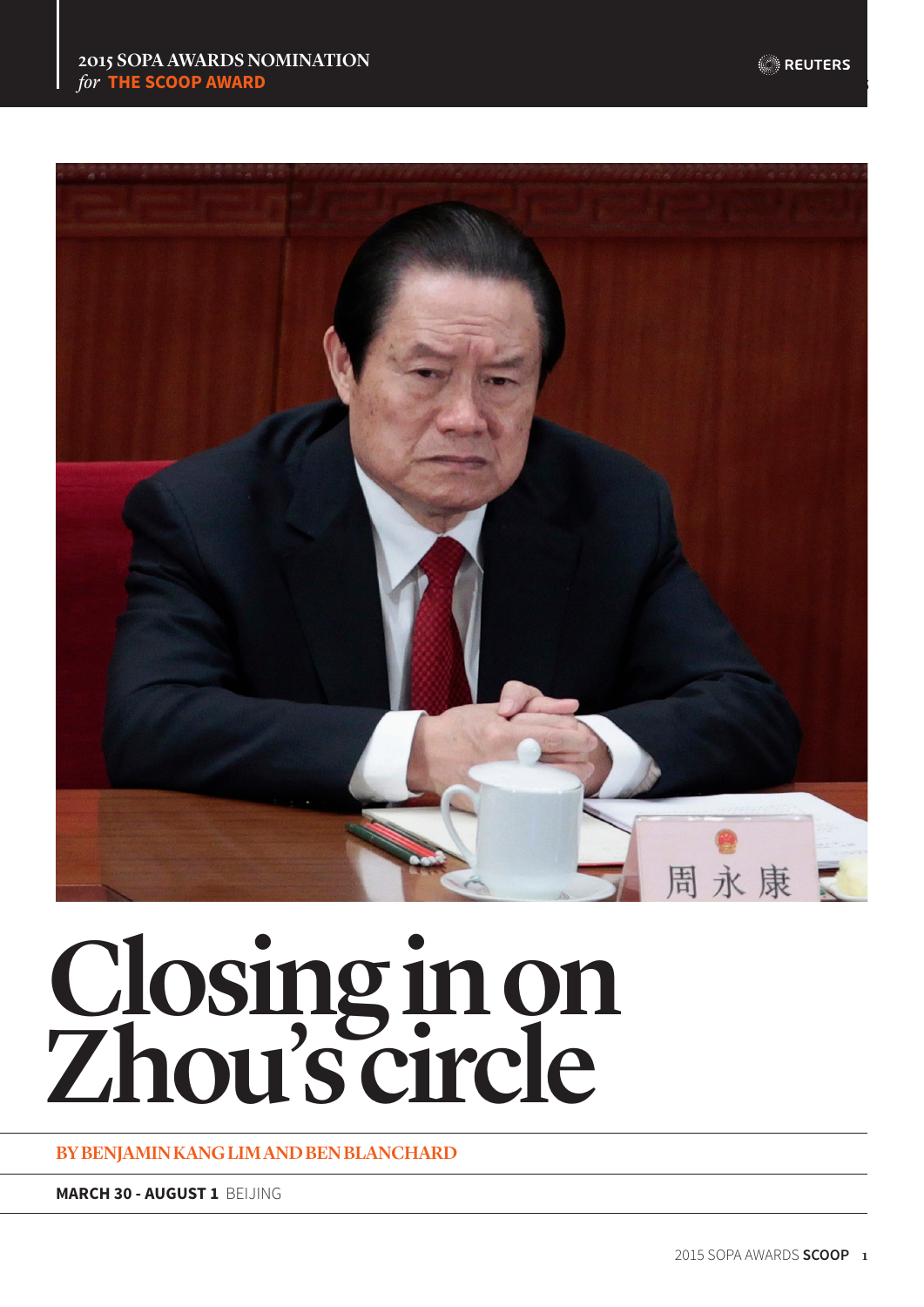

# Closing in on Zhou's circle

BY BENJAMIN KANG LIM AND BEN BLANCHARD

**MARCH 30 - AUGUST 1** BEIJING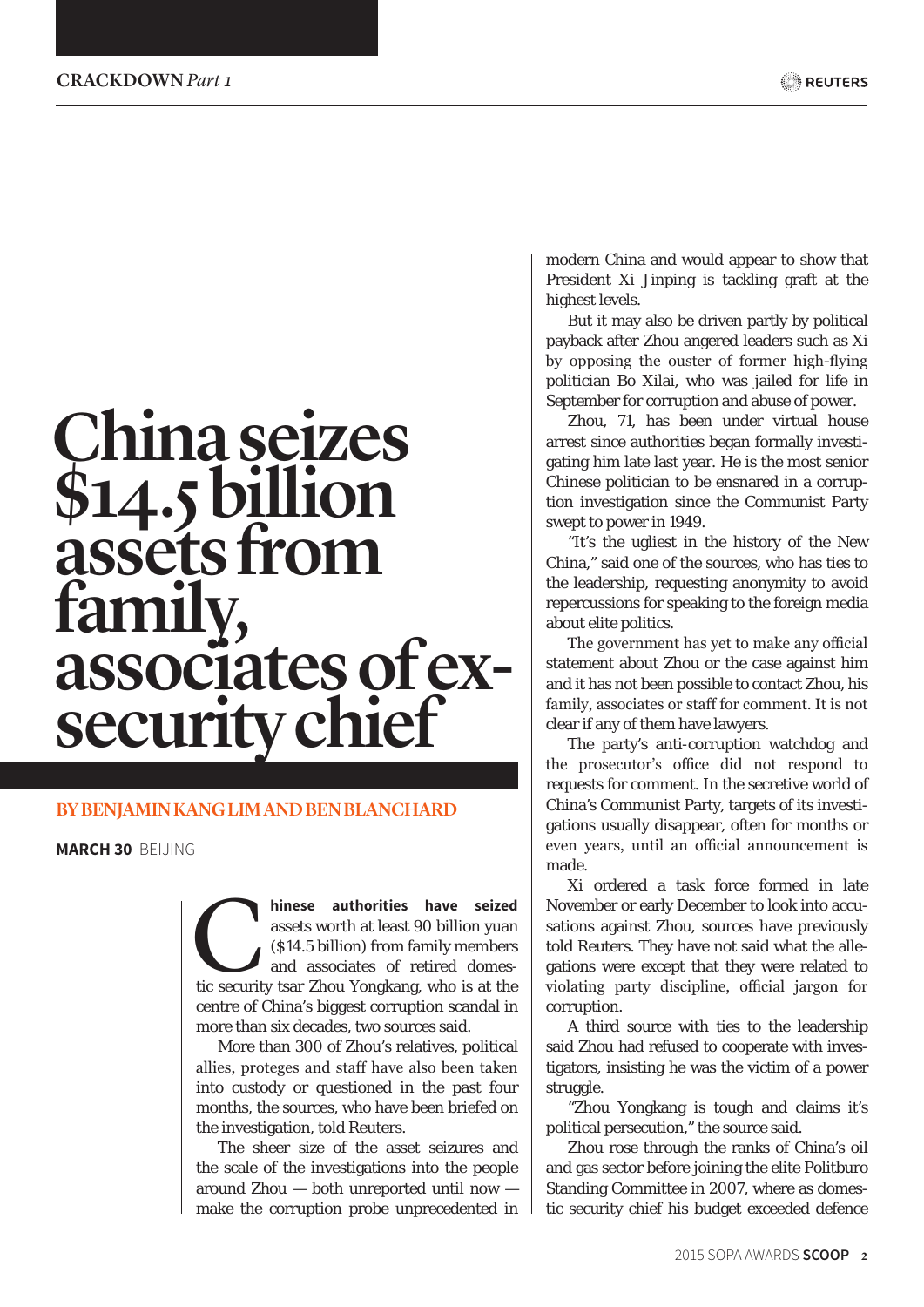# China seizes \$14.5 billion assets from famil associates of exsecurity chief

#### BY BENJAMIN KANG LIM AND BEN BLANCHARD

**MARCH 30** BEIJING

**hinese authorities have seized**  assets worth at least 90 billion yuan (\$14.5 billion) from family members and associates of retired domeshinese authorities have seized<br>assets worth at least 90 billion yuan<br>(\$14.5 billion) from family members<br>and associates of retired domes-<br>tic security tsar Zhou Yongkang, who is at the centre of China's biggest corruption scandal in more than six decades, two sources said.

More than 300 of Zhou's relatives, political allies, proteges and staff have also been taken into custody or questioned in the past four months, the sources, who have been briefed on the investigation, told Reuters.

The sheer size of the asset seizures and the scale of the investigations into the people around Zhou — both unreported until now make the corruption probe unprecedented in

modern China and would appear to show that President Xi Jinping is tackling graft at the highest levels.

But it may also be driven partly by political payback after Zhou angered leaders such as Xi by opposing the ouster of former high-flying politician Bo Xilai, who was jailed for life in September for corruption and abuse of power.

Zhou, 71, has been under virtual house arrest since authorities began formally investigating him late last year. He is the most senior Chinese politician to be ensnared in a corruption investigation since the Communist Party swept to power in 1949.

"It's the ugliest in the history of the New China," said one of the sources, who has ties to the leadership, requesting anonymity to avoid repercussions for speaking to the foreign media about elite politics.

The government has yet to make any official statement about Zhou or the case against him and it has not been possible to contact Zhou, his family, associates or staff for comment. It is not clear if any of them have lawyers.

The party's anti-corruption watchdog and the prosecutor's office did not respond to requests for comment. In the secretive world of China's Communist Party, targets of its investigations usually disappear, often for months or even years, until an official announcement is made.

Xi ordered a task force formed in late November or early December to look into accusations against Zhou, sources have previously told Reuters. They have not said what the allegations were except that they were related to violating party discipline, official jargon for corruption.

A third source with ties to the leadership said Zhou had refused to cooperate with investigators, insisting he was the victim of a power struggle.

"Zhou Yongkang is tough and claims it's political persecution," the source said.

Zhou rose through the ranks of China's oil and gas sector before joining the elite Politburo Standing Committee in 2007, where as domestic security chief his budget exceeded defence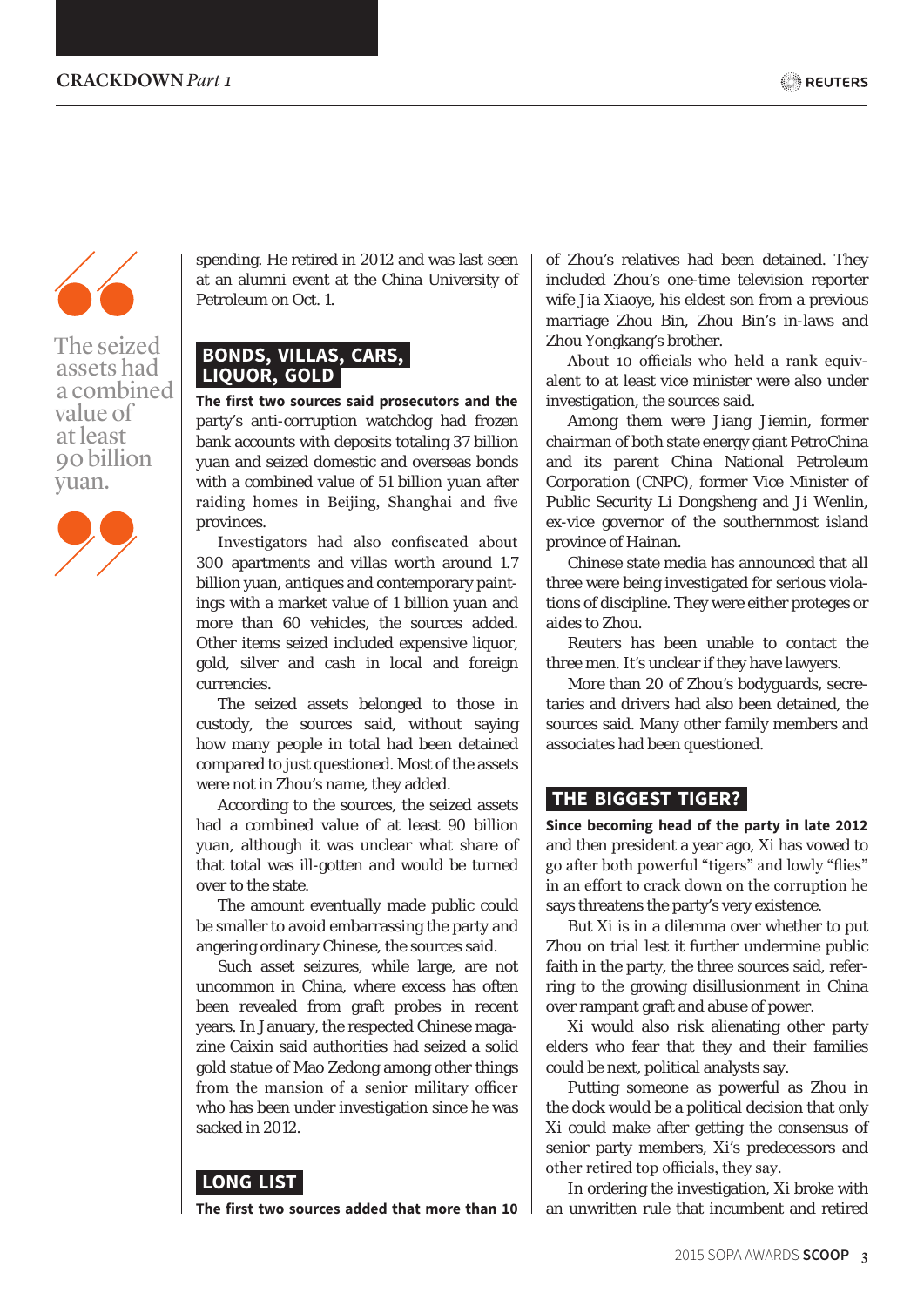#### CRACKDOWN *Part 1*



The seized assets had a combined value of at least 90 billion yuan.



spending. He retired in 2012 and was last seen at an alumni event at the China University of Petroleum on Oct. 1.

### **BONDS, VILLAS, CARS, LIQUOR, GOLD**

**The first two sources said prosecutors and the**  party's anti-corruption watchdog had frozen bank accounts with deposits totaling 37 billion yuan and seized domestic and overseas bonds with a combined value of 51 billion yuan after raiding homes in Beijing, Shanghai and five provinces.

Investigators had also confiscated about 300 apartments and villas worth around 1.7 billion yuan, antiques and contemporary paintings with a market value of 1 billion yuan and more than 60 vehicles, the sources added. Other items seized included expensive liquor, gold, silver and cash in local and foreign currencies.

The seized assets belonged to those in custody, the sources said, without saying how many people in total had been detained compared to just questioned. Most of the assets were not in Zhou's name, they added.

According to the sources, the seized assets had a combined value of at least 90 billion yuan, although it was unclear what share of that total was ill-gotten and would be turned over to the state.

The amount eventually made public could be smaller to avoid embarrassing the party and angering ordinary Chinese, the sources said.

Such asset seizures, while large, are not uncommon in China, where excess has often been revealed from graft probes in recent years. In January, the respected Chinese magazine Caixin said authorities had seized a solid gold statue of Mao Zedong among other things from the mansion of a senior military officer who has been under investigation since he was sacked in 2012.

### **LONG LIST**

**The first two sources added that more than 10** 

of Zhou's relatives had been detained. They included Zhou's one-time television reporter wife Jia Xiaoye, his eldest son from a previous marriage Zhou Bin, Zhou Bin's in-laws and Zhou Yongkang's brother.

About 10 officials who held a rank equivalent to at least vice minister were also under investigation, the sources said.

Among them were Jiang Jiemin, former chairman of both state energy giant PetroChina and its parent China National Petroleum Corporation (CNPC), former Vice Minister of Public Security Li Dongsheng and Ji Wenlin, ex-vice governor of the southernmost island province of Hainan.

Chinese state media has announced that all three were being investigated for serious violations of discipline. They were either proteges or aides to Zhou.

Reuters has been unable to contact the three men. It's unclear if they have lawyers.

More than 20 of Zhou's bodyguards, secretaries and drivers had also been detained, the sources said. Many other family members and associates had been questioned.

#### **THE BIGGEST TIGER?**

**Since becoming head of the party in late 2012** and then president a year ago, Xi has vowed to go after both powerful "tigers" and lowly "flies" in an effort to crack down on the corruption he says threatens the party's very existence.

But Xi is in a dilemma over whether to put Zhou on trial lest it further undermine public faith in the party, the three sources said, referring to the growing disillusionment in China over rampant graft and abuse of power.

Xi would also risk alienating other party elders who fear that they and their families could be next, political analysts say.

Putting someone as powerful as Zhou in the dock would be a political decision that only Xi could make after getting the consensus of senior party members, Xi's predecessors and other retired top officials, they say.

In ordering the investigation, Xi broke with an unwritten rule that incumbent and retired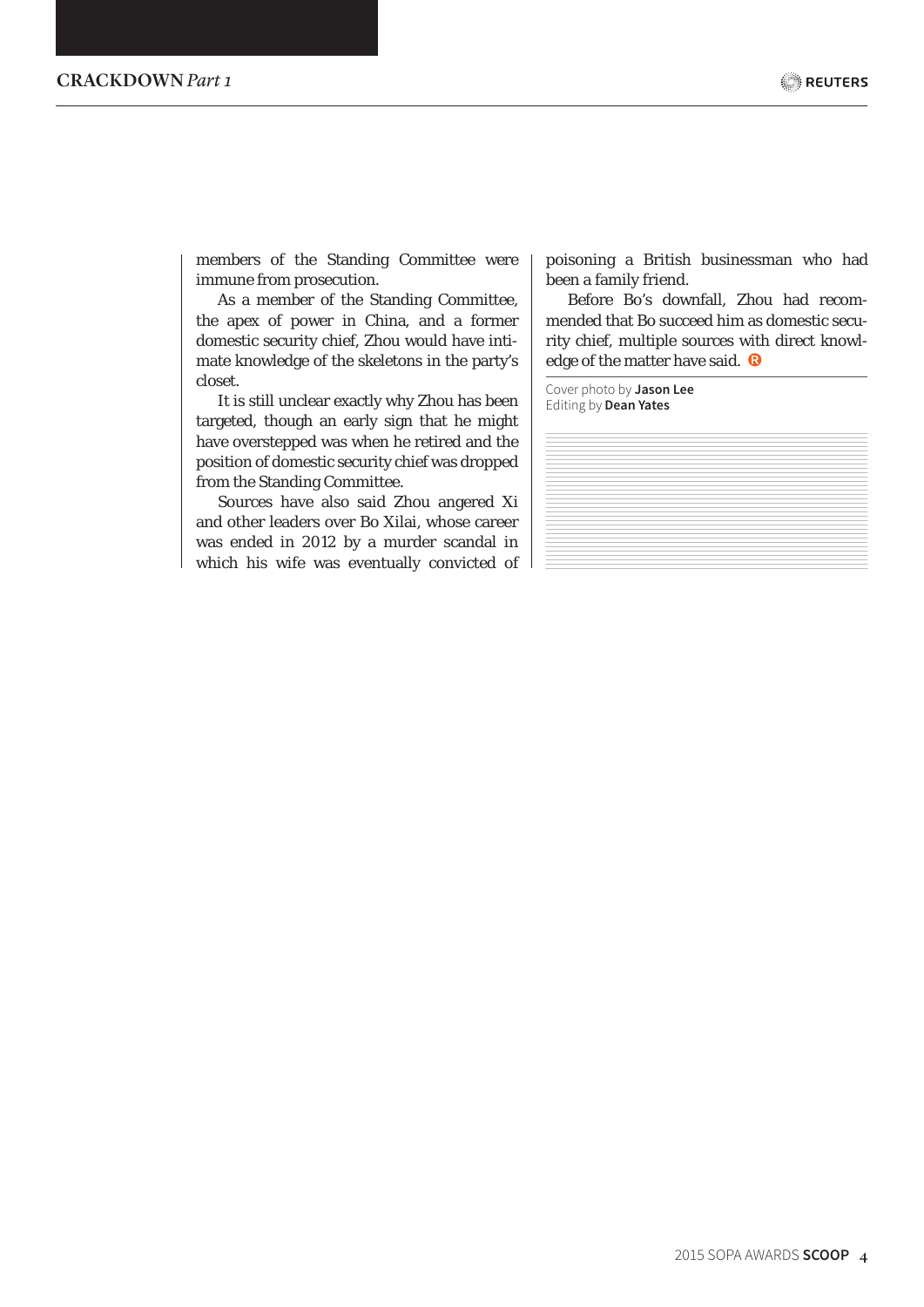members of the Standing Committee were immune from prosecution.

As a member of the Standing Committee, the apex of power in China, and a former domestic security chief, Zhou would have intimate knowledge of the skeletons in the party's closet.

It is still unclear exactly why Zhou has been targeted, though an early sign that he might have overstepped was when he retired and the position of domestic security chief was dropped from the Standing Committee.

Sources have also said Zhou angered Xi and other leaders over Bo Xilai, whose career was ended in 2012 by a murder scandal in which his wife was eventually convicted of poisoning a British businessman who had been a family friend.

Before Bo's downfall, Zhou had recommended that Bo succeed him as domestic security chief, multiple sources with direct knowledge of the matter have said. <sup>©</sup>

Cover photo by **Jason Lee**  Editing by **Dean Yates**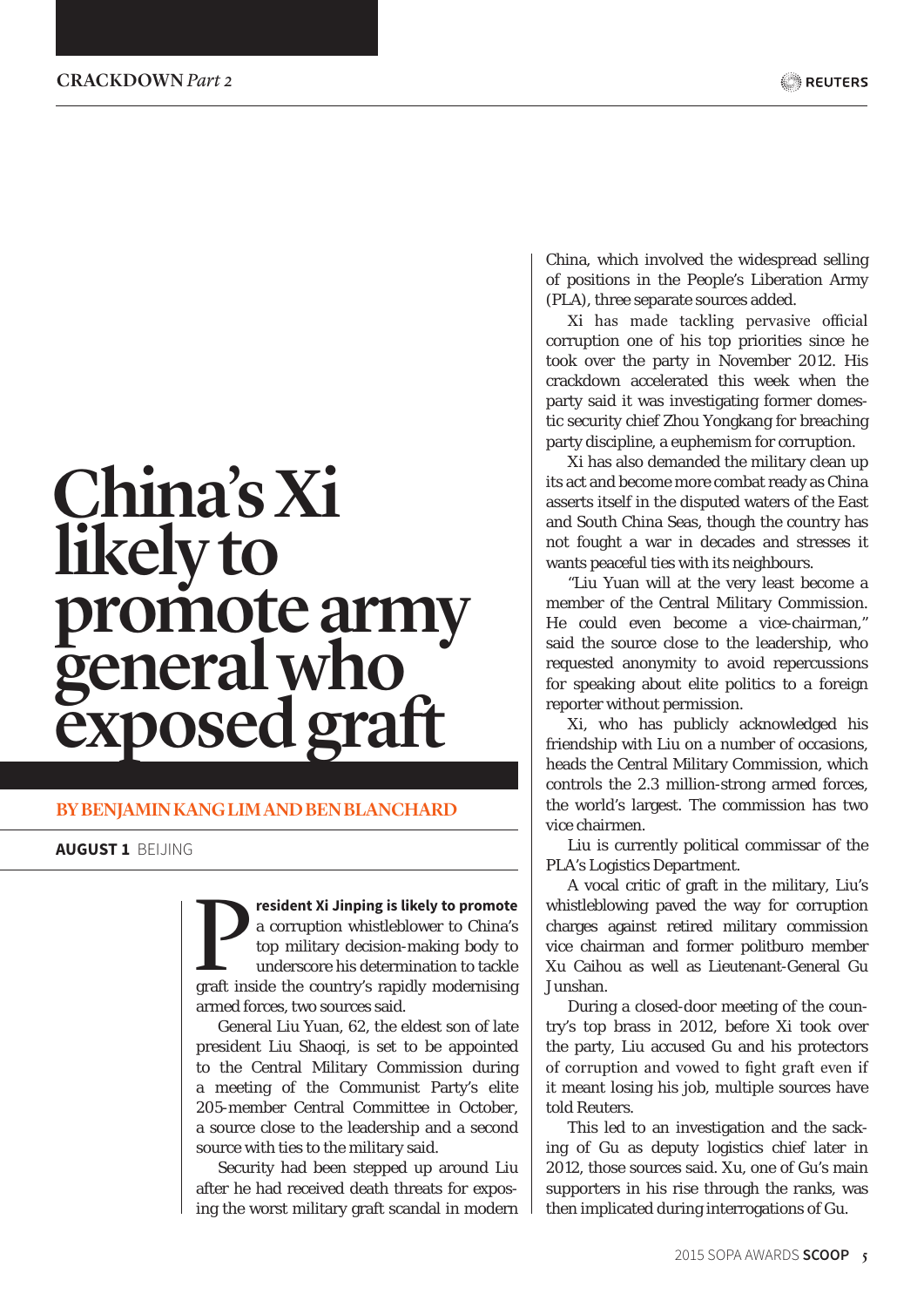# China's Xi likely to promote army general who exposed graft

#### BY BENJAMIN KANG LIM AND BEN BLANCHARD

**AUGUST 1** BEIJING

**resident Xi Jinping is likely to promote** a corruption whistleblower to China's top military decision-making body to underscore his determination to tackle The country's state of the country's rapidly modernising body to underscore his determination to tackle graft inside the country's rapidly modernising armed forces, two sources said.

General Liu Yuan, 62, the eldest son of late president Liu Shaoqi, is set to be appointed to the Central Military Commission during a meeting of the Communist Party's elite 205-member Central Committee in October, a source close to the leadership and a second source with ties to the military said.

Security had been stepped up around Liu after he had received death threats for exposing the worst military graft scandal in modern

China, which involved the widespread selling of positions in the People's Liberation Army (PLA), three separate sources added.

Xi has made tackling pervasive official corruption one of his top priorities since he took over the party in November 2012. His crackdown accelerated this week when the party said it was investigating former domestic security chief Zhou Yongkang for breaching party discipline, a euphemism for corruption.

Xi has also demanded the military clean up its act and become more combat ready as China asserts itself in the disputed waters of the East and South China Seas, though the country has not fought a war in decades and stresses it wants peaceful ties with its neighbours.

"Liu Yuan will at the very least become a member of the Central Military Commission. He could even become a vice-chairman," said the source close to the leadership, who requested anonymity to avoid repercussions for speaking about elite politics to a foreign reporter without permission.

Xi, who has publicly acknowledged his friendship with Liu on a number of occasions, heads the Central Military Commission, which controls the 2.3 million-strong armed forces, the world's largest. The commission has two vice chairmen.

Liu is currently political commissar of the PLA's Logistics Department.

A vocal critic of graft in the military, Liu's whistleblowing paved the way for corruption charges against retired military commission vice chairman and former politburo member Xu Caihou as well as Lieutenant-General Gu Junshan.

During a closed-door meeting of the country's top brass in 2012, before Xi took over the party, Liu accused Gu and his protectors of corruption and vowed to fight graft even if it meant losing his job, multiple sources have told Reuters.

This led to an investigation and the sacking of Gu as deputy logistics chief later in 2012, those sources said. Xu, one of Gu's main supporters in his rise through the ranks, was then implicated during interrogations of Gu.